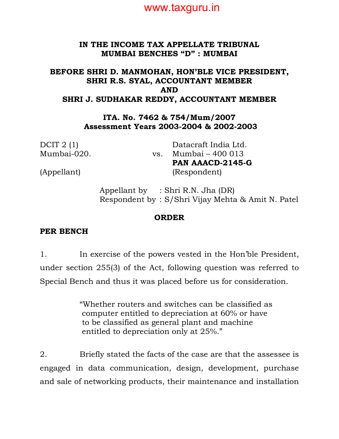

#### IN THE INCOME TAX APPELLATE TRIBUNAL MUMBAI BENCHES "D" : MUMBAI

### BEFORE SHRI D. MANMOHAN, HON'BLE VICE PRESIDENT, SHRI R.S. SYAL, ACCOUNTANT MEMBER AND SHRI J. SUDHAKAR REDDY, ACCOUNTANT MEMBER

ITA. No. 7462 & 754/Mum/2007 Assessment Years 2003-2004 & 2002-2003

DCIT 2 (1) Mumbai-020. vs.

Datacraft India Ltd. Mumbai – 400 013 PAN AAACD-2145-G (Appellant) (Respondent)

 Appellant by : Shri R.N. Jha (DR) Respondent by : S/Shri Vijay Mehta & Amit N. Patel

#### ORDER

#### PER BENCH

1. In exercise of the powers vested in the Hon'ble President, under section 255(3) of the Act, following question was referred to Special Bench and thus it was placed before us for consideration.

> "Whether routers and switches can be classified as computer entitled to depreciation at 60% or have to be classified as general plant and machine entitled to depreciation only at 25%."

2. Briefly stated the facts of the case are that the assessee is engaged in data communication, design, development, purchase and sale of networking products, their maintenance and installation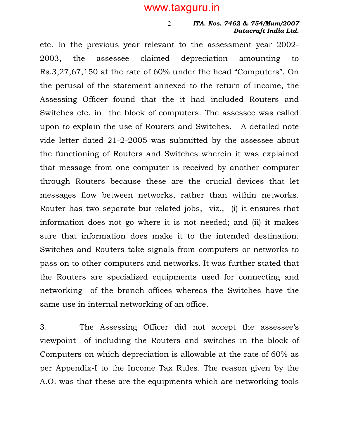2

#### ITA. Nos. 7462 & 754/Mum/2007 Datacraft India Ltd.

etc. In the previous year relevant to the assessment year 2002- 2003, the assessee claimed depreciation amounting to Rs.3,27,67,150 at the rate of 60% under the head "Computers". On the perusal of the statement annexed to the return of income, the Assessing Officer found that the it had included Routers and Switches etc. in the block of computers. The assessee was called upon to explain the use of Routers and Switches. A detailed note vide letter dated 21-2-2005 was submitted by the assessee about the functioning of Routers and Switches wherein it was explained that message from one computer is received by another computer through Routers because these are the crucial devices that let messages flow between networks, rather than within networks. Router has two separate but related jobs, viz., (i) it ensures that information does not go where it is not needed; and (ii) it makes sure that information does make it to the intended destination. Switches and Routers take signals from computers or networks to pass on to other computers and networks. It was further stated that the Routers are specialized equipments used for connecting and networking of the branch offices whereas the Switches have the same use in internal networking of an office.

3. The Assessing Officer did not accept the assessee's viewpoint of including the Routers and switches in the block of Computers on which depreciation is allowable at the rate of 60% as per Appendix-I to the Income Tax Rules. The reason given by the A.O. was that these are the equipments which are networking tools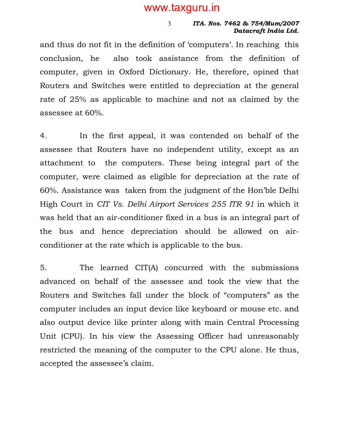#### ITA. Nos. 7462 & 754/Mum/2007 Datacraft India Ltd.

and thus do not fit in the definition of 'computers'. In reaching this conclusion, he also took assistance from the definition of computer, given in Oxford Dictionary. He, therefore, opined that Routers and Switches were entitled to depreciation at the general rate of 25% as applicable to machine and not as claimed by the assessee at 60%.

4. In the first appeal, it was contended on behalf of the assessee that Routers have no independent utility, except as an attachment to the computers. These being integral part of the computer, were claimed as eligible for depreciation at the rate of 60%. Assistance was taken from the judgment of the Hon'ble Delhi High Court in CIT Vs. Delhi Airport Services 255 ITR 91 in which it was held that an air-conditioner fixed in a bus is an integral part of the bus and hence depreciation should be allowed on airconditioner at the rate which is applicable to the bus.

5. The learned CIT(A) concurred with the submissions advanced on behalf of the assessee and took the view that the Routers and Switches fall under the block of "computers" as the computer includes an input device like keyboard or mouse etc. and also output device like printer along with main Central Processing Unit (CPU). In his view the Assessing Officer had unreasonably restricted the meaning of the computer to the CPU alone. He thus, accepted the assessee's claim.

3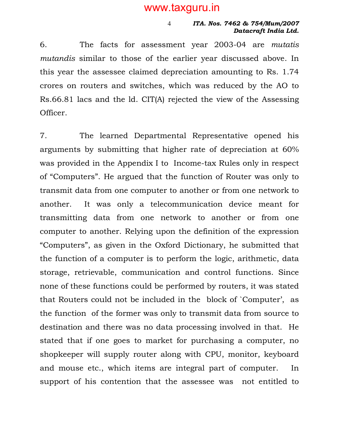#### ITA. Nos. 7462 & 754/Mum/2007 Datacraft India Ltd.

6. The facts for assessment year 2003-04 are mutatis mutandis similar to those of the earlier year discussed above. In this year the assessee claimed depreciation amounting to Rs. 1.74 crores on routers and switches, which was reduced by the AO to Rs.66.81 lacs and the ld. CIT(A) rejected the view of the Assessing Officer.

4

7. The learned Departmental Representative opened his arguments by submitting that higher rate of depreciation at 60% was provided in the Appendix I to Income-tax Rules only in respect of "Computers". He argued that the function of Router was only to transmit data from one computer to another or from one network to another. It was only a telecommunication device meant for transmitting data from one network to another or from one computer to another. Relying upon the definition of the expression "Computers", as given in the Oxford Dictionary, he submitted that the function of a computer is to perform the logic, arithmetic, data storage, retrievable, communication and control functions. Since none of these functions could be performed by routers, it was stated that Routers could not be included in the block of `Computer', as the function of the former was only to transmit data from source to destination and there was no data processing involved in that. He stated that if one goes to market for purchasing a computer, no shopkeeper will supply router along with CPU, monitor, keyboard and mouse etc., which items are integral part of computer. In support of his contention that the assessee was not entitled to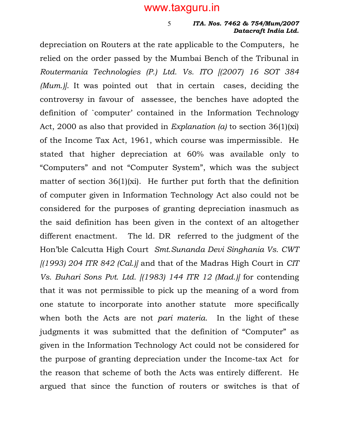5

#### ITA. Nos. 7462 & 754/Mum/2007 Datacraft India Ltd.

depreciation on Routers at the rate applicable to the Computers, he relied on the order passed by the Mumbai Bench of the Tribunal in Routermania Technologies (P.) Ltd. Vs. ITO [(2007) 16 SOT 384 (Mum.). It was pointed out that in certain cases, deciding the controversy in favour of assessee, the benches have adopted the definition of `computer' contained in the Information Technology Act, 2000 as also that provided in Explanation (a) to section  $36(1)(x)$ of the Income Tax Act, 1961, which course was impermissible. He stated that higher depreciation at 60% was available only to "Computers" and not "Computer System", which was the subject matter of section 36(1)(xi). He further put forth that the definition of computer given in Information Technology Act also could not be considered for the purposes of granting depreciation inasmuch as the said definition has been given in the context of an altogether different enactment. The ld. DR referred to the judgment of the Hon'ble Calcutta High Court Smt.Sunanda Devi Singhania Vs. CWT  $(1993)$  204 ITR 842 (Cal.) and that of the Madras High Court in CIT Vs. Buhari Sons Pvt. Ltd. [(1983) 144 ITR 12 (Mad.)] for contending that it was not permissible to pick up the meaning of a word from one statute to incorporate into another statute more specifically when both the Acts are not *pari materia*. In the light of these judgments it was submitted that the definition of "Computer" as given in the Information Technology Act could not be considered for the purpose of granting depreciation under the Income-tax Act for the reason that scheme of both the Acts was entirely different. He argued that since the function of routers or switches is that of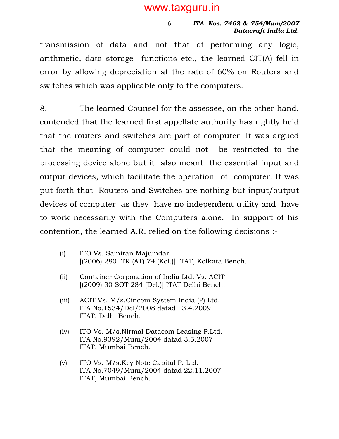#### ITA. Nos. 7462 & 754/Mum/2007 Datacraft India Ltd.

transmission of data and not that of performing any logic, arithmetic, data storage functions etc., the learned CIT(A) fell in error by allowing depreciation at the rate of 60% on Routers and switches which was applicable only to the computers.

6

8. The learned Counsel for the assessee, on the other hand, contended that the learned first appellate authority has rightly held that the routers and switches are part of computer. It was argued that the meaning of computer could not be restricted to the processing device alone but it also meant the essential input and output devices, which facilitate the operation of computer. It was put forth that Routers and Switches are nothing but input/output devices of computer as they have no independent utility and have to work necessarily with the Computers alone. In support of his contention, the learned A.R. relied on the following decisions :-

- (i) ITO Vs. Samiran Majumdar [(2006) 280 ITR (AT) 74 (Kol.)] ITAT, Kolkata Bench.
- (ii) Container Corporation of India Ltd. Vs. ACIT [(2009) 30 SOT 284 (Del.)] ITAT Delhi Bench.
- (iii) ACIT Vs. M/s.Cincom System India (P) Ltd. ITA No.1534/Del/2008 datad 13.4.2009 ITAT, Delhi Bench.
- (iv) ITO Vs. M/s.Nirmal Datacom Leasing P.Ltd. ITA No.9392/Mum/2004 datad 3.5.2007 ITAT, Mumbai Bench.
- (v) ITO Vs. M/s.Key Note Capital P. Ltd. ITA No.7049/Mum/2004 datad 22.11.2007 ITAT, Mumbai Bench.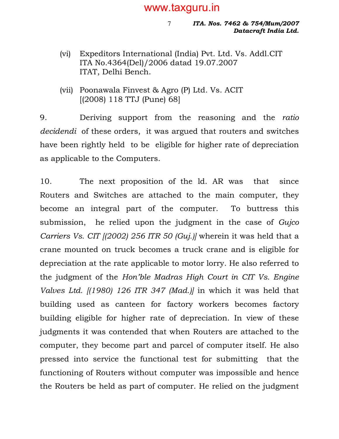7

ITA. Nos. 7462 & 754/Mum/2007 Datacraft India Ltd.

- (vi) Expeditors International (India) Pvt. Ltd. Vs. Addl.CIT ITA No.4364(Del)/2006 datad 19.07.2007 ITAT, Delhi Bench.
- (vii) Poonawala Finvest & Agro (P) Ltd. Vs. ACIT [(2008) 118 TTJ (Pune) 68]

9. Deriving support from the reasoning and the ratio decidendi of these orders, it was argued that routers and switches have been rightly held to be eligible for higher rate of depreciation as applicable to the Computers.

10. The next proposition of the ld. AR was that since Routers and Switches are attached to the main computer, they become an integral part of the computer. To buttress this submission, he relied upon the judgment in the case of Gujco Carriers Vs. CIT [(2002) 256 ITR 50 (Guj.)] wherein it was held that a crane mounted on truck becomes a truck crane and is eligible for depreciation at the rate applicable to motor lorry. He also referred to the judgment of the Hon'ble Madras High Court in CIT Vs. Engine Valves Ltd. [(1980) 126 ITR 347 (Mad.)] in which it was held that building used as canteen for factory workers becomes factory building eligible for higher rate of depreciation. In view of these judgments it was contended that when Routers are attached to the computer, they become part and parcel of computer itself. He also pressed into service the functional test for submitting that the functioning of Routers without computer was impossible and hence the Routers be held as part of computer. He relied on the judgment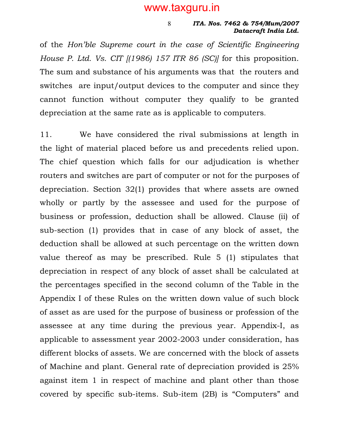#### ITA. Nos. 7462 & 754/Mum/2007 Datacraft India Ltd.

of the Hon'ble Supreme court in the case of Scientific Engineering House P. Ltd. Vs. CIT  $(1986)$  157 ITR 86 (SC) for this proposition. The sum and substance of his arguments was that the routers and switches are input/output devices to the computer and since they cannot function without computer they qualify to be granted depreciation at the same rate as is applicable to computers.

8

11. We have considered the rival submissions at length in the light of material placed before us and precedents relied upon. The chief question which falls for our adjudication is whether routers and switches are part of computer or not for the purposes of depreciation. Section 32(1) provides that where assets are owned wholly or partly by the assessee and used for the purpose of business or profession, deduction shall be allowed. Clause (ii) of sub-section (1) provides that in case of any block of asset, the deduction shall be allowed at such percentage on the written down value thereof as may be prescribed. Rule 5 (1) stipulates that depreciation in respect of any block of asset shall be calculated at the percentages specified in the second column of the Table in the Appendix I of these Rules on the written down value of such block of asset as are used for the purpose of business or profession of the assessee at any time during the previous year. Appendix-I, as applicable to assessment year 2002-2003 under consideration, has different blocks of assets. We are concerned with the block of assets of Machine and plant. General rate of depreciation provided is 25% against item 1 in respect of machine and plant other than those covered by specific sub-items. Sub-item (2B) is "Computers" and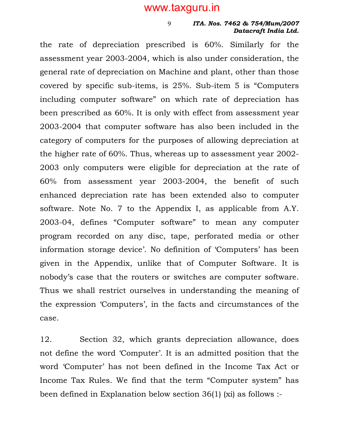9

#### ITA. Nos. 7462 & 754/Mum/2007 Datacraft India Ltd.

the rate of depreciation prescribed is 60%. Similarly for the assessment year 2003-2004, which is also under consideration, the general rate of depreciation on Machine and plant, other than those covered by specific sub-items, is 25%. Sub-item 5 is "Computers including computer software" on which rate of depreciation has been prescribed as 60%. It is only with effect from assessment year 2003-2004 that computer software has also been included in the category of computers for the purposes of allowing depreciation at the higher rate of 60%. Thus, whereas up to assessment year 2002- 2003 only computers were eligible for depreciation at the rate of 60% from assessment year 2003-2004, the benefit of such enhanced depreciation rate has been extended also to computer software. Note No. 7 to the Appendix I, as applicable from A.Y. 2003-04, defines "Computer software" to mean any computer program recorded on any disc, tape, perforated media or other information storage device'. No definition of 'Computers' has been given in the Appendix, unlike that of Computer Software. It is nobody's case that the routers or switches are computer software. Thus we shall restrict ourselves in understanding the meaning of the expression 'Computers', in the facts and circumstances of the case.

12. Section 32, which grants depreciation allowance, does not define the word 'Computer'. It is an admitted position that the word 'Computer' has not been defined in the Income Tax Act or Income Tax Rules. We find that the term "Computer system" has been defined in Explanation below section 36(1) (xi) as follows :-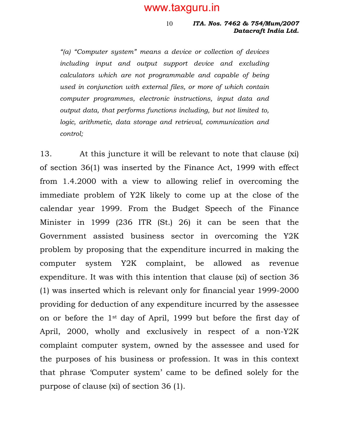#### ITA. Nos. 7462 & 754/Mum/2007 Datacraft India Ltd. 10

"(a) "Computer system" means a device or collection of devices including input and output support device and excluding calculators which are not programmable and capable of being used in conjunction with external files, or more of which contain computer programmes, electronic instructions, input data and output data, that performs functions including, but not limited to, logic, arithmetic, data storage and retrieval, communication and control;

13. At this juncture it will be relevant to note that clause (xi) of section 36(1) was inserted by the Finance Act, 1999 with effect from 1.4.2000 with a view to allowing relief in overcoming the immediate problem of Y2K likely to come up at the close of the calendar year 1999. From the Budget Speech of the Finance Minister in 1999 (236 ITR (St.) 26) it can be seen that the Government assisted business sector in overcoming the Y2K problem by proposing that the expenditure incurred in making the computer system Y2K complaint, be allowed as revenue expenditure. It was with this intention that clause (xi) of section 36 (1) was inserted which is relevant only for financial year 1999-2000 providing for deduction of any expenditure incurred by the assessee on or before the 1st day of April, 1999 but before the first day of April, 2000, wholly and exclusively in respect of a non-Y2K complaint computer system, owned by the assessee and used for the purposes of his business or profession. It was in this context that phrase 'Computer system' came to be defined solely for the purpose of clause (xi) of section 36 (1).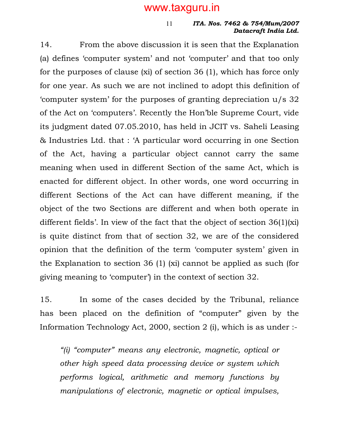#### ITA. Nos. 7462 & 754/Mum/2007 Datacraft India Ltd. 11

14. From the above discussion it is seen that the Explanation (a) defines 'computer system' and not 'computer' and that too only for the purposes of clause (xi) of section 36 (1), which has force only for one year. As such we are not inclined to adopt this definition of 'computer system' for the purposes of granting depreciation u/s 32 of the Act on 'computers'. Recently the Hon'ble Supreme Court, vide its judgment dated 07.05.2010, has held in JCIT vs. Saheli Leasing & Industries Ltd. that : 'A particular word occurring in one Section of the Act, having a particular object cannot carry the same meaning when used in different Section of the same Act, which is enacted for different object. In other words, one word occurring in different Sections of the Act can have different meaning, if the object of the two Sections are different and when both operate in different fields'. In view of the fact that the object of section 36(1)(xi) is quite distinct from that of section 32, we are of the considered opinion that the definition of the term 'computer system' given in the Explanation to section 36 (1) (xi) cannot be applied as such (for giving meaning to 'computer') in the context of section 32.

15. In some of the cases decided by the Tribunal, reliance has been placed on the definition of "computer" given by the Information Technology Act, 2000, section 2 (i), which is as under :-

"(i) "computer" means any electronic, magnetic, optical or other high speed data processing device or system which performs logical, arithmetic and memory functions by manipulations of electronic, magnetic or optical impulses,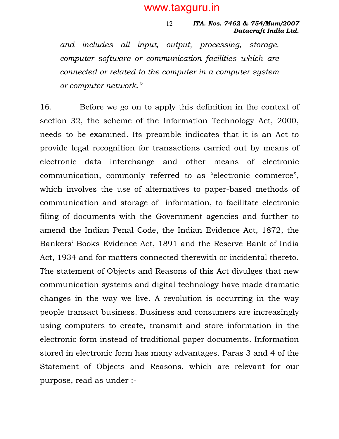ITA. Nos. 7462 & 754/Mum/2007 Datacraft India Ltd. 12

and includes all input, output, processing, storage, computer software or communication facilities which are connected or related to the computer in a computer system or computer network."

16. Before we go on to apply this definition in the context of section 32, the scheme of the Information Technology Act, 2000, needs to be examined. Its preamble indicates that it is an Act to provide legal recognition for transactions carried out by means of electronic data interchange and other means of electronic communication, commonly referred to as "electronic commerce", which involves the use of alternatives to paper-based methods of communication and storage of information, to facilitate electronic filing of documents with the Government agencies and further to amend the Indian Penal Code, the Indian Evidence Act, 1872, the Bankers' Books Evidence Act, 1891 and the Reserve Bank of India Act, 1934 and for matters connected therewith or incidental thereto. The statement of Objects and Reasons of this Act divulges that new communication systems and digital technology have made dramatic changes in the way we live. A revolution is occurring in the way people transact business. Business and consumers are increasingly using computers to create, transmit and store information in the electronic form instead of traditional paper documents. Information stored in electronic form has many advantages. Paras 3 and 4 of the Statement of Objects and Reasons, which are relevant for our purpose, read as under :-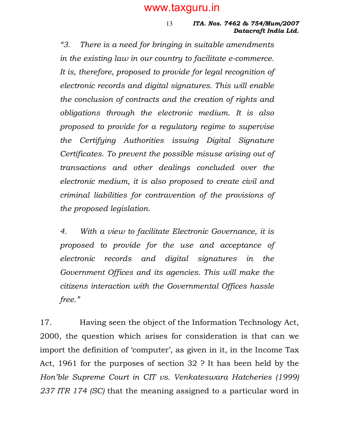#### ITA. Nos. 7462 & 754/Mum/2007 Datacraft India Ltd. 13

"3. There is a need for bringing in suitable amendments in the existing law in our country to facilitate e-commerce. It is, therefore, proposed to provide for legal recognition of electronic records and digital signatures. This will enable the conclusion of contracts and the creation of rights and obligations through the electronic medium. It is also proposed to provide for a regulatory regime to supervise the Certifying Authorities issuing Digital Signature Certificates. To prevent the possible misuse arising out of transactions and other dealings concluded over the electronic medium, it is also proposed to create civil and criminal liabilities for contravention of the provisions of the proposed legislation.

4. With a view to facilitate Electronic Governance, it is proposed to provide for the use and acceptance of electronic records and digital signatures in the Government Offices and its agencies. This will make the citizens interaction with the Governmental Offices hassle free."

17. Having seen the object of the Information Technology Act, 2000, the question which arises for consideration is that can we import the definition of 'computer', as given in it, in the Income Tax Act, 1961 for the purposes of section 32 ? It has been held by the Hon'ble Supreme Court in CIT vs. Venkateswara Hatcheries (1999) 237 ITR 174 (SC) that the meaning assigned to a particular word in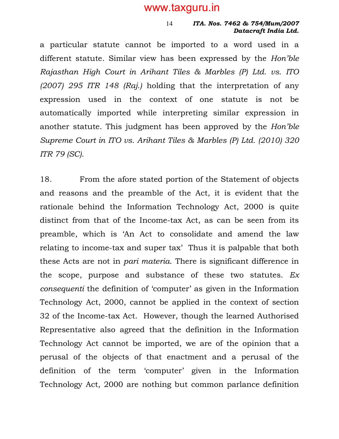#### ITA. Nos. 7462 & 754/Mum/2007 Datacraft India Ltd. 14

a particular statute cannot be imported to a word used in a different statute. Similar view has been expressed by the Hon'ble Rajasthan High Court in Arihant Tiles & Marbles (P) Ltd. vs. ITO (2007) 295 ITR 148 (Raj.) holding that the interpretation of any expression used in the context of one statute is not be automatically imported while interpreting similar expression in another statute. This judgment has been approved by the Hon'ble Supreme Court in ITO vs. Arihant Tiles & Marbles (P) Ltd. (2010) 320 ITR 79 (SC).

18. From the afore stated portion of the Statement of objects and reasons and the preamble of the Act, it is evident that the rationale behind the Information Technology Act, 2000 is quite distinct from that of the Income-tax Act, as can be seen from its preamble, which is 'An Act to consolidate and amend the law relating to income-tax and super tax' Thus it is palpable that both these Acts are not in pari materia. There is significant difference in the scope, purpose and substance of these two statutes.  $Ex$ consequenti the definition of 'computer' as given in the Information Technology Act, 2000, cannot be applied in the context of section 32 of the Income-tax Act. However, though the learned Authorised Representative also agreed that the definition in the Information Technology Act cannot be imported, we are of the opinion that a perusal of the objects of that enactment and a perusal of the definition of the term 'computer' given in the Information Technology Act, 2000 are nothing but common parlance definition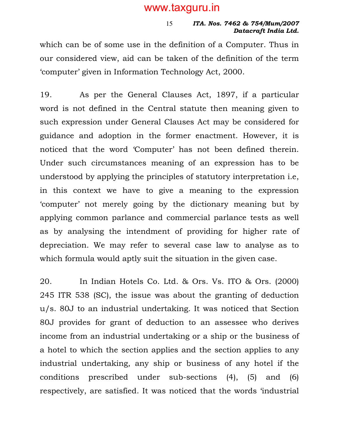#### ITA. Nos. 7462 & 754/Mum/2007 Datacraft India Ltd. 15

which can be of some use in the definition of a Computer. Thus in our considered view, aid can be taken of the definition of the term 'computer' given in Information Technology Act, 2000.

19. As per the General Clauses Act, 1897, if a particular word is not defined in the Central statute then meaning given to such expression under General Clauses Act may be considered for guidance and adoption in the former enactment. However, it is noticed that the word 'Computer' has not been defined therein. Under such circumstances meaning of an expression has to be understood by applying the principles of statutory interpretation i.e, in this context we have to give a meaning to the expression 'computer' not merely going by the dictionary meaning but by applying common parlance and commercial parlance tests as well as by analysing the intendment of providing for higher rate of depreciation. We may refer to several case law to analyse as to which formula would aptly suit the situation in the given case.

20. In Indian Hotels Co. Ltd. & Ors. Vs. ITO & Ors. (2000) 245 ITR 538 (SC), the issue was about the granting of deduction u/s. 80J to an industrial undertaking. It was noticed that Section 80J provides for grant of deduction to an assessee who derives income from an industrial undertaking or a ship or the business of a hotel to which the section applies and the section applies to any industrial undertaking, any ship or business of any hotel if the conditions prescribed under sub-sections (4), (5) and (6) respectively, are satisfied. It was noticed that the words 'industrial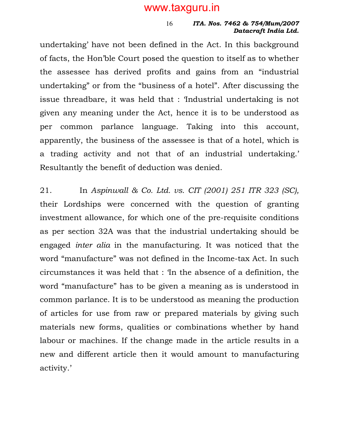#### ITA. Nos. 7462 & 754/Mum/2007 Datacraft India Ltd. 16

undertaking' have not been defined in the Act. In this background of facts, the Hon'ble Court posed the question to itself as to whether the assessee has derived profits and gains from an "industrial undertaking" or from the "business of a hotel". After discussing the issue threadbare, it was held that : 'Industrial undertaking is not given any meaning under the Act, hence it is to be understood as per common parlance language. Taking into this account, apparently, the business of the assessee is that of a hotel, which is a trading activity and not that of an industrial undertaking.' Resultantly the benefit of deduction was denied.

21. In Aspinwall & Co. Ltd. vs. CIT (2001) 251 ITR 323 (SC), their Lordships were concerned with the question of granting investment allowance, for which one of the pre-requisite conditions as per section 32A was that the industrial undertaking should be engaged inter alia in the manufacturing. It was noticed that the word "manufacture" was not defined in the Income-tax Act. In such circumstances it was held that : 'In the absence of a definition, the word "manufacture" has to be given a meaning as is understood in common parlance. It is to be understood as meaning the production of articles for use from raw or prepared materials by giving such materials new forms, qualities or combinations whether by hand labour or machines. If the change made in the article results in a new and different article then it would amount to manufacturing activity.'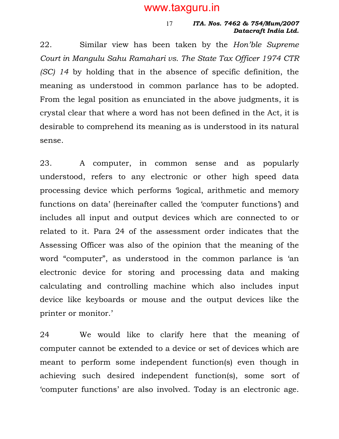#### ITA. Nos. 7462 & 754/Mum/2007 Datacraft India Ltd. 17

22. Similar view has been taken by the Hon'ble Supreme Court in Mangulu Sahu Ramahari vs. The State Tax Officer 1974 CTR (SC) 14 by holding that in the absence of specific definition, the meaning as understood in common parlance has to be adopted. From the legal position as enunciated in the above judgments, it is crystal clear that where a word has not been defined in the Act, it is desirable to comprehend its meaning as is understood in its natural sense.

23. A computer, in common sense and as popularly understood, refers to any electronic or other high speed data processing device which performs 'logical, arithmetic and memory functions on data' (hereinafter called the 'computer functions') and includes all input and output devices which are connected to or related to it. Para 24 of the assessment order indicates that the Assessing Officer was also of the opinion that the meaning of the word "computer", as understood in the common parlance is 'an electronic device for storing and processing data and making calculating and controlling machine which also includes input device like keyboards or mouse and the output devices like the printer or monitor.'

24 We would like to clarify here that the meaning of computer cannot be extended to a device or set of devices which are meant to perform some independent function(s) even though in achieving such desired independent function(s), some sort of 'computer functions' are also involved. Today is an electronic age.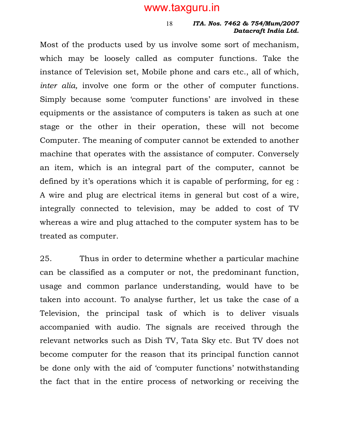#### ITA. Nos. 7462 & 754/Mum/2007 Datacraft India Ltd. 18

Most of the products used by us involve some sort of mechanism, which may be loosely called as computer functions. Take the instance of Television set, Mobile phone and cars etc., all of which, inter alia, involve one form or the other of computer functions. Simply because some 'computer functions' are involved in these equipments or the assistance of computers is taken as such at one stage or the other in their operation, these will not become Computer. The meaning of computer cannot be extended to another machine that operates with the assistance of computer. Conversely an item, which is an integral part of the computer, cannot be defined by it's operations which it is capable of performing, for eg : A wire and plug are electrical items in general but cost of a wire, integrally connected to television, may be added to cost of TV whereas a wire and plug attached to the computer system has to be treated as computer.

25. Thus in order to determine whether a particular machine can be classified as a computer or not, the predominant function, usage and common parlance understanding, would have to be taken into account. To analyse further, let us take the case of a Television, the principal task of which is to deliver visuals accompanied with audio. The signals are received through the relevant networks such as Dish TV, Tata Sky etc. But TV does not become computer for the reason that its principal function cannot be done only with the aid of 'computer functions' notwithstanding the fact that in the entire process of networking or receiving the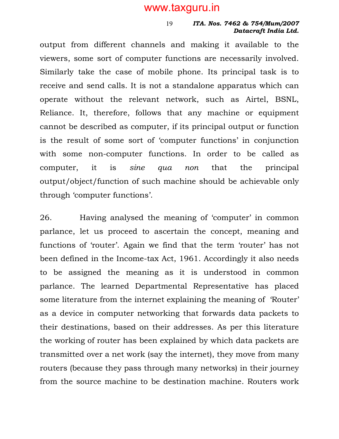19

#### ITA. Nos. 7462 & 754/Mum/2007 Datacraft India Ltd.

output from different channels and making it available to the viewers, some sort of computer functions are necessarily involved. Similarly take the case of mobile phone. Its principal task is to receive and send calls. It is not a standalone apparatus which can operate without the relevant network, such as Airtel, BSNL, Reliance. It, therefore, follows that any machine or equipment cannot be described as computer, if its principal output or function is the result of some sort of 'computer functions' in conjunction with some non-computer functions. In order to be called as computer, it is sine qua non that the principal output/object/function of such machine should be achievable only through 'computer functions'.

26. Having analysed the meaning of 'computer' in common parlance, let us proceed to ascertain the concept, meaning and functions of 'router'. Again we find that the term 'router' has not been defined in the Income-tax Act, 1961. Accordingly it also needs to be assigned the meaning as it is understood in common parlance. The learned Departmental Representative has placed some literature from the internet explaining the meaning of 'Router' as a device in computer networking that forwards data packets to their destinations, based on their addresses. As per this literature the working of router has been explained by which data packets are transmitted over a net work (say the internet), they move from many routers (because they pass through many networks) in their journey from the source machine to be destination machine. Routers work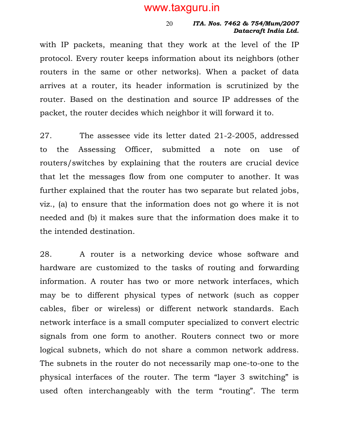#### ITA. Nos. 7462 & 754/Mum/2007 Datacraft India Ltd. 20

with IP packets, meaning that they work at the level of the IP protocol. Every router keeps information about its neighbors (other routers in the same or other networks). When a packet of data arrives at a router, its header information is scrutinized by the router. Based on the destination and source IP addresses of the packet, the router decides which neighbor it will forward it to.

27. The assessee vide its letter dated 21-2-2005, addressed to the Assessing Officer, submitted a note on use of routers/switches by explaining that the routers are crucial device that let the messages flow from one computer to another. It was further explained that the router has two separate but related jobs, viz., (a) to ensure that the information does not go where it is not needed and (b) it makes sure that the information does make it to the intended destination.

28. A router is a networking device whose software and hardware are customized to the tasks of routing and forwarding information. A router has two or more network interfaces, which may be to different physical types of network (such as copper cables, fiber or wireless) or different network standards. Each network interface is a small computer specialized to convert electric signals from one form to another. Routers connect two or more logical subnets, which do not share a common network address. The subnets in the router do not necessarily map one-to-one to the physical interfaces of the router. The term "layer 3 switching" is used often interchangeably with the term "routing". The term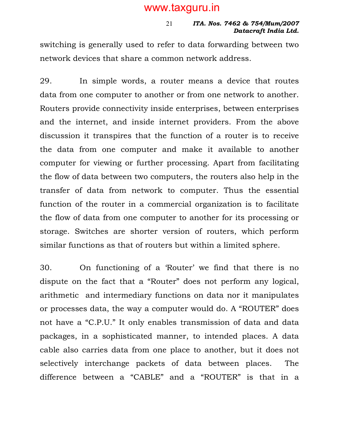#### ITA. Nos. 7462 & 754/Mum/2007 Datacraft India Ltd. 21

switching is generally used to refer to data forwarding between two network devices that share a common network address.

29. In simple words, a router means a device that routes data from one computer to another or from one network to another. Routers provide connectivity inside enterprises, between enterprises and the internet, and inside internet providers. From the above discussion it transpires that the function of a router is to receive the data from one computer and make it available to another computer for viewing or further processing. Apart from facilitating the flow of data between two computers, the routers also help in the transfer of data from network to computer. Thus the essential function of the router in a commercial organization is to facilitate the flow of data from one computer to another for its processing or storage. Switches are shorter version of routers, which perform similar functions as that of routers but within a limited sphere.

30. On functioning of a 'Router' we find that there is no dispute on the fact that a "Router" does not perform any logical, arithmetic and intermediary functions on data nor it manipulates or processes data, the way a computer would do. A "ROUTER" does not have a "C.P.U." It only enables transmission of data and data packages, in a sophisticated manner, to intended places. A data cable also carries data from one place to another, but it does not selectively interchange packets of data between places. The difference between a "CABLE" and a "ROUTER" is that in a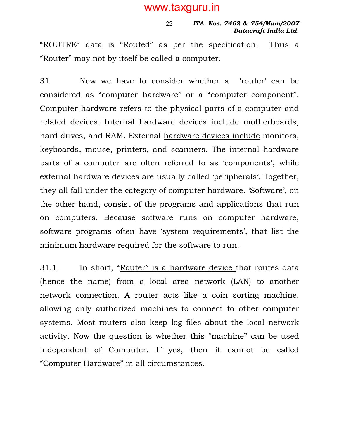#### ITA. Nos. 7462 & 754/Mum/2007 Datacraft India Ltd. 22

"ROUTRE" data is "Routed" as per the specification. Thus a "Router" may not by itself be called a computer.

31. Now we have to consider whether a 'router' can be considered as "computer hardware" or a "computer component". Computer hardware refers to the physical parts of a computer and related devices. Internal hardware devices include motherboards, hard drives, and RAM. External hardware devices include monitors, keyboards, mouse, printers, and scanners. The internal hardware parts of a computer are often referred to as 'components', while external hardware devices are usually called 'peripherals'. Together, they all fall under the category of computer hardware. 'Software', on the other hand, consist of the programs and applications that run on computers. Because software runs on computer hardware, software programs often have 'system requirements', that list the minimum hardware required for the software to run.

31.1. In short, "Router" is a hardware device that routes data (hence the name) from a local area network (LAN) to another network connection. A router acts like a coin sorting machine, allowing only authorized machines to connect to other computer systems. Most routers also keep log files about the local network activity. Now the question is whether this "machine" can be used independent of Computer. If yes, then it cannot be called "Computer Hardware" in all circumstances.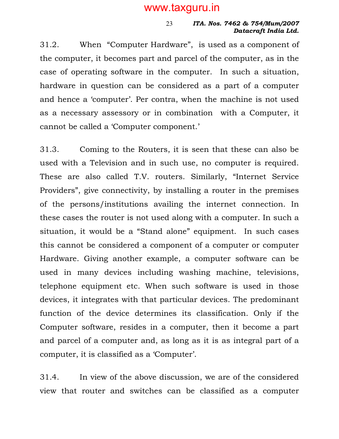#### ITA. Nos. 7462 & 754/Mum/2007 Datacraft India Ltd.

31.2. When "Computer Hardware", is used as a component of the computer, it becomes part and parcel of the computer, as in the case of operating software in the computer. In such a situation, hardware in question can be considered as a part of a computer and hence a 'computer'. Per contra, when the machine is not used as a necessary assessory or in combination with a Computer, it cannot be called a 'Computer component.'

23

31.3. Coming to the Routers, it is seen that these can also be used with a Television and in such use, no computer is required. These are also called T.V. routers. Similarly, "Internet Service Providers", give connectivity, by installing a router in the premises of the persons/institutions availing the internet connection. In these cases the router is not used along with a computer. In such a situation, it would be a "Stand alone" equipment. In such cases this cannot be considered a component of a computer or computer Hardware. Giving another example, a computer software can be used in many devices including washing machine, televisions, telephone equipment etc. When such software is used in those devices, it integrates with that particular devices. The predominant function of the device determines its classification. Only if the Computer software, resides in a computer, then it become a part and parcel of a computer and, as long as it is as integral part of a computer, it is classified as a 'Computer'.

31.4. In view of the above discussion, we are of the considered view that router and switches can be classified as a computer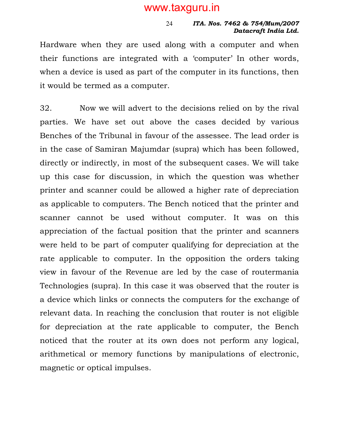#### ITA. Nos. 7462 & 754/Mum/2007 Datacraft India Ltd.

Hardware when they are used along with a computer and when their functions are integrated with a 'computer' In other words, when a device is used as part of the computer in its functions, then it would be termed as a computer.

24

32. Now we will advert to the decisions relied on by the rival parties. We have set out above the cases decided by various Benches of the Tribunal in favour of the assessee. The lead order is in the case of Samiran Majumdar (supra) which has been followed, directly or indirectly, in most of the subsequent cases. We will take up this case for discussion, in which the question was whether printer and scanner could be allowed a higher rate of depreciation as applicable to computers. The Bench noticed that the printer and scanner cannot be used without computer. It was on this appreciation of the factual position that the printer and scanners were held to be part of computer qualifying for depreciation at the rate applicable to computer. In the opposition the orders taking view in favour of the Revenue are led by the case of routermania Technologies (supra). In this case it was observed that the router is a device which links or connects the computers for the exchange of relevant data. In reaching the conclusion that router is not eligible for depreciation at the rate applicable to computer, the Bench noticed that the router at its own does not perform any logical, arithmetical or memory functions by manipulations of electronic, magnetic or optical impulses.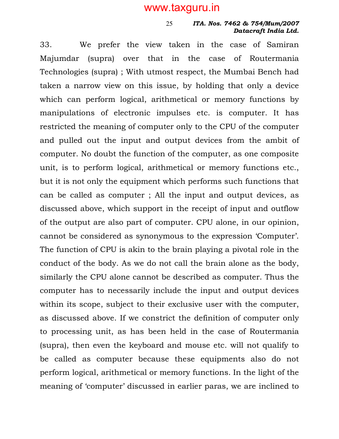25

#### ITA. Nos. 7462 & 754/Mum/2007 Datacraft India Ltd.

33. We prefer the view taken in the case of Samiran Majumdar (supra) over that in the case of Routermania Technologies (supra) ; With utmost respect, the Mumbai Bench had taken a narrow view on this issue, by holding that only a device which can perform logical, arithmetical or memory functions by manipulations of electronic impulses etc. is computer. It has restricted the meaning of computer only to the CPU of the computer and pulled out the input and output devices from the ambit of computer. No doubt the function of the computer, as one composite unit, is to perform logical, arithmetical or memory functions etc., but it is not only the equipment which performs such functions that can be called as computer ; All the input and output devices, as discussed above, which support in the receipt of input and outflow of the output are also part of computer. CPU alone, in our opinion, cannot be considered as synonymous to the expression 'Computer'. The function of CPU is akin to the brain playing a pivotal role in the conduct of the body. As we do not call the brain alone as the body, similarly the CPU alone cannot be described as computer. Thus the computer has to necessarily include the input and output devices within its scope, subject to their exclusive user with the computer, as discussed above. If we constrict the definition of computer only to processing unit, as has been held in the case of Routermania (supra), then even the keyboard and mouse etc. will not qualify to be called as computer because these equipments also do not perform logical, arithmetical or memory functions. In the light of the meaning of 'computer' discussed in earlier paras, we are inclined to